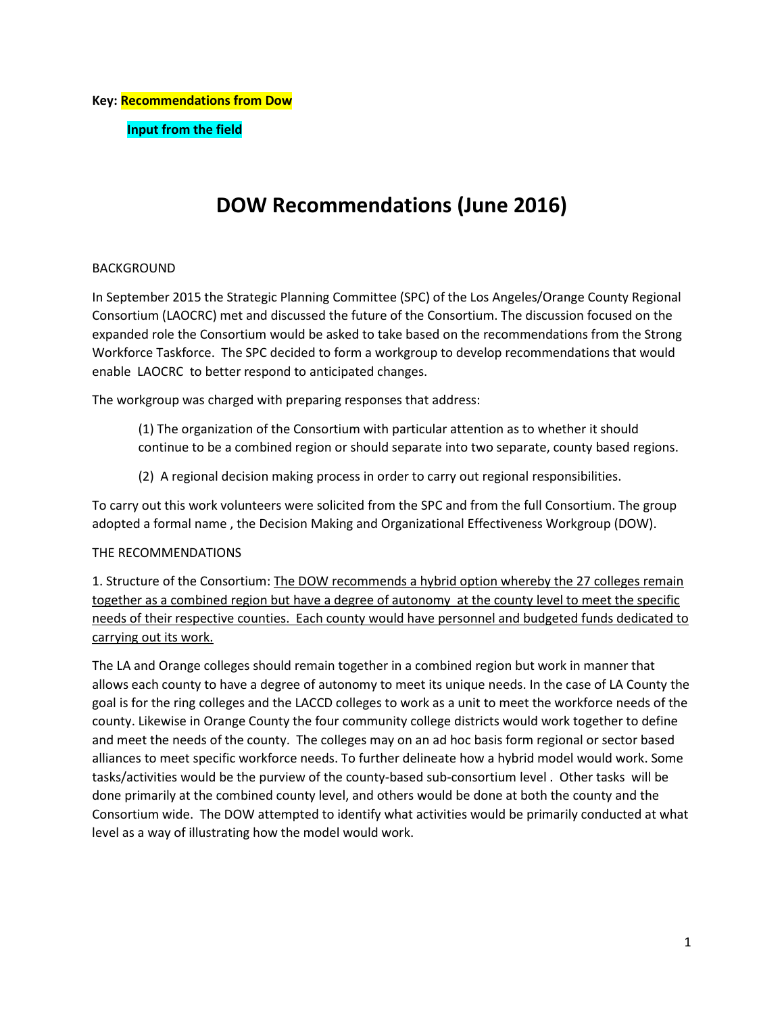# **DOW Recommendations (June 2016)**

# BACKGROUND

In September 2015 the Strategic Planning Committee (SPC) of the Los Angeles/Orange County Regional Consortium (LAOCRC) met and discussed the future of the Consortium. The discussion focused on the expanded role the Consortium would be asked to take based on the recommendations from the Strong Workforce Taskforce. The SPC decided to form a workgroup to develop recommendations that would enable LAOCRC to better respond to anticipated changes.

The workgroup was charged with preparing responses that address:

- (1) The organization of the Consortium with particular attention as to whether it should continue to be a combined region or should separate into two separate, county based regions.
- (2) A regional decision making process in order to carry out regional responsibilities.

To carry out this work volunteers were solicited from the SPC and from the full Consortium. The group adopted a formal name , the Decision Making and Organizational Effectiveness Workgroup (DOW).

### THE RECOMMENDATIONS

1. Structure of the Consortium: The DOW recommends a hybrid option whereby the 27 colleges remain together as a combined region but have a degree of autonomy at the county level to meet the specific needs of their respective counties. Each county would have personnel and budgeted funds dedicated to carrying out its work.

The LA and Orange colleges should remain together in a combined region but work in manner that allows each county to have a degree of autonomy to meet its unique needs. In the case of LA County the goal is for the ring colleges and the LACCD colleges to work as a unit to meet the workforce needs of the county. Likewise in Orange County the four community college districts would work together to define and meet the needs of the county. The colleges may on an ad hoc basis form regional or sector based alliances to meet specific workforce needs. To further delineate how a hybrid model would work. Some tasks/activities would be the purview of the county-based sub-consortium level . Other tasks will be done primarily at the combined county level, and others would be done at both the county and the Consortium wide. The DOW attempted to identify what activities would be primarily conducted at what level as a way of illustrating how the model would work.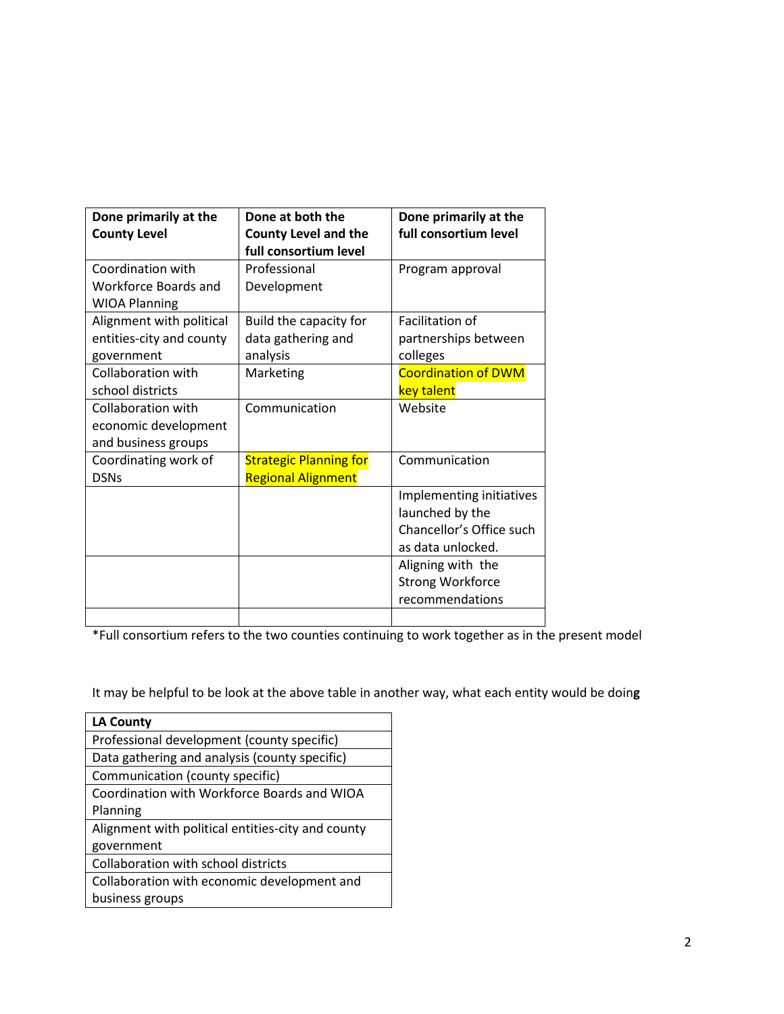| Done primarily at the    | Done at both the<br>Done primarily at the |                            |  |
|--------------------------|-------------------------------------------|----------------------------|--|
| <b>County Level</b>      | <b>County Level and the</b>               | full consortium level      |  |
|                          | full consortium level                     |                            |  |
| Coordination with        | Professional                              | Program approval           |  |
| Workforce Boards and     | Development                               |                            |  |
| <b>WIOA Planning</b>     |                                           |                            |  |
| Alignment with political | Build the capacity for                    | Facilitation of            |  |
| entities-city and county | data gathering and                        | partnerships between       |  |
| government               | analysis                                  | colleges                   |  |
| Collaboration with       | Marketing                                 | <b>Coordination of DWM</b> |  |
| school districts         |                                           | key talent                 |  |
| Collaboration with       | Communication                             | Website                    |  |
| economic development     |                                           |                            |  |
| and business groups      |                                           |                            |  |
| Coordinating work of     | <b>Strategic Planning for</b>             | Communication              |  |
| <b>DSNs</b>              | <b>Regional Alignment</b>                 |                            |  |
|                          |                                           | Implementing initiatives   |  |
|                          |                                           | launched by the            |  |
|                          |                                           | Chancellor's Office such   |  |
|                          |                                           | as data unlocked.          |  |
|                          |                                           | Aligning with the          |  |
|                          |                                           | <b>Strong Workforce</b>    |  |
|                          |                                           | recommendations            |  |
|                          |                                           |                            |  |

\*Full consortium refers to the two counties continuing to work together as in the present model

It may be helpful to be look at the above table in another way, what each entity would be doin**g**

| <b>LA County</b>                                  |  |  |  |
|---------------------------------------------------|--|--|--|
| Professional development (county specific)        |  |  |  |
| Data gathering and analysis (county specific)     |  |  |  |
| Communication (county specific)                   |  |  |  |
| Coordination with Workforce Boards and WIOA       |  |  |  |
| Planning                                          |  |  |  |
| Alignment with political entities-city and county |  |  |  |
| government                                        |  |  |  |
| Collaboration with school districts               |  |  |  |
| Collaboration with economic development and       |  |  |  |
| business groups                                   |  |  |  |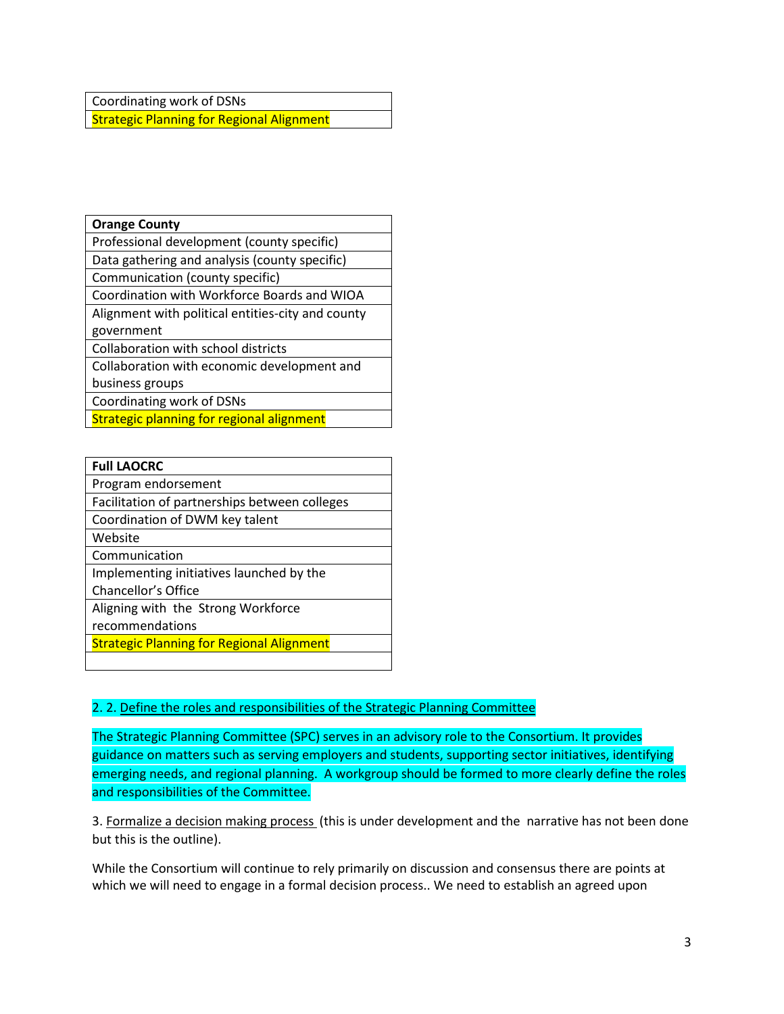Coordinating work of DSNs **Strategic Planning for Regional Alignment** 

| <b>Orange County</b>                              |
|---------------------------------------------------|
| Professional development (county specific)        |
| Data gathering and analysis (county specific)     |
| Communication (county specific)                   |
| Coordination with Workforce Boards and WIOA       |
| Alignment with political entities-city and county |
| government                                        |
|                                                   |

Collaboration with school districts

Collaboration with economic development and

business groups

Coordinating work of DSNs

Strategic planning for regional alignment

| <b>Full LAOCRC</b>                               |
|--------------------------------------------------|
| Program endorsement                              |
| Facilitation of partnerships between colleges    |
| Coordination of DWM key talent                   |
| Website                                          |
| Communication                                    |
| Implementing initiatives launched by the         |
| Chancellor's Office                              |
| Aligning with the Strong Workforce               |
| recommendations                                  |
| <b>Strategic Planning for Regional Alignment</b> |
|                                                  |

# 2. 2. Define the roles and responsibilities of the Strategic Planning Committee

The Strategic Planning Committee (SPC) serves in an advisory role to the Consortium. It provides guidance on matters such as serving employers and students, supporting sector initiatives, identifying emerging needs, and regional planning. A workgroup should be formed to more clearly define the roles and responsibilities of the Committee.

3. Formalize a decision making process (this is under development and the narrative has not been done but this is the outline).

While the Consortium will continue to rely primarily on discussion and consensus there are points at which we will need to engage in a formal decision process.. We need to establish an agreed upon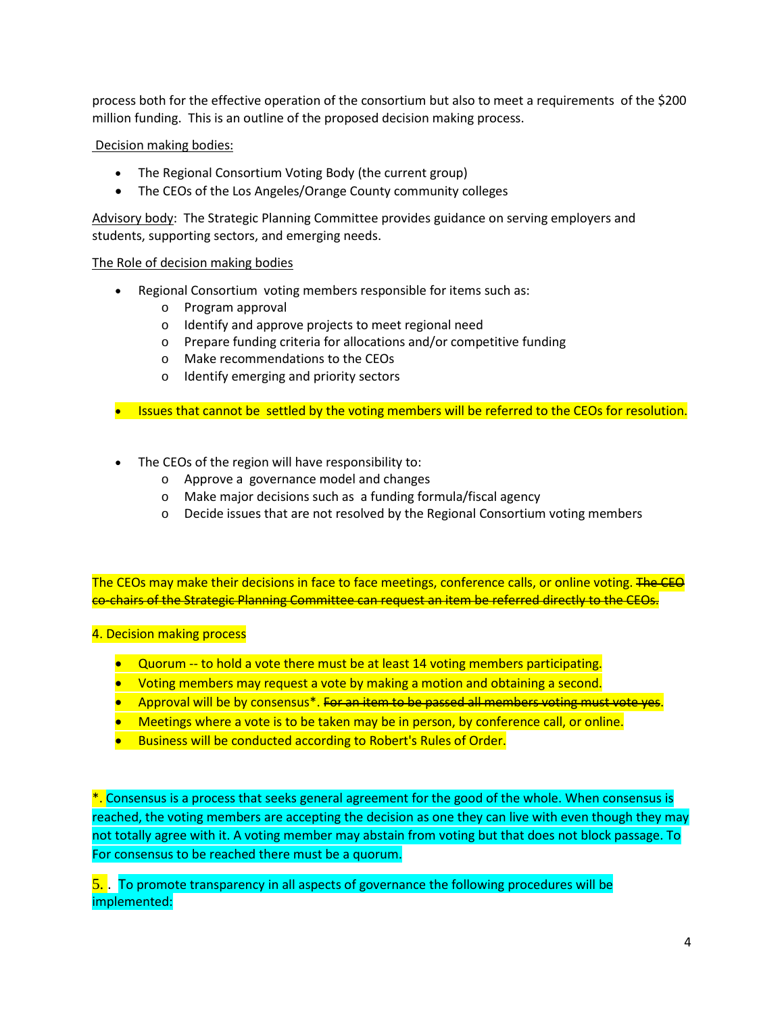process both for the effective operation of the consortium but also to meet a requirements of the \$200 million funding. This is an outline of the proposed decision making process.

# Decision making bodies:

- The Regional Consortium Voting Body (the current group)
- The CEOs of the Los Angeles/Orange County community colleges

Advisory body: The Strategic Planning Committee provides guidance on serving employers and students, supporting sectors, and emerging needs.

### The Role of decision making bodies

- Regional Consortium voting members responsible for items such as:
	- o Program approval
	- o Identify and approve projects to meet regional need
	- o Prepare funding criteria for allocations and/or competitive funding
	- o Make recommendations to the CEOs
	- o Identify emerging and priority sectors
- Issues that cannot be settled by the voting members will be referred to the CEOs for resolution.
- The CEOs of the region will have responsibility to:
	- o Approve a governance model and changes
	- o Make major decisions such as a funding formula/fiscal agency
	- o Decide issues that are not resolved by the Regional Consortium voting members

The CEOs may make their decisions in face to face meetings, conference calls, or online voting. The CEO co-chairs of the Strategic Planning Committee can request an item be referred directly to the CEOs.

### 4. Decision making process

- Quorum -- to hold a vote there must be at least 14 voting members participating.
- Voting members may request a vote by making a motion and obtaining a second.
- Approval will be by consensus<sup>\*</sup>. For an item to be passed all members voting must vote yes.
- Meetings where a vote is to be taken may be in person, by conference call, or online.
- Business will be conducted according to Robert's Rules of Order.

\*. Consensus is a process that seeks general agreement for the good of the whole. When consensus is reached, the voting members are accepting the decision as one they can live with even though they may not totally agree with it. A voting member may abstain from voting but that does not block passage. To For consensus to be reached there must be a quorum.

5. . To promote transparency in all aspects of governance the following procedures will be implemented: